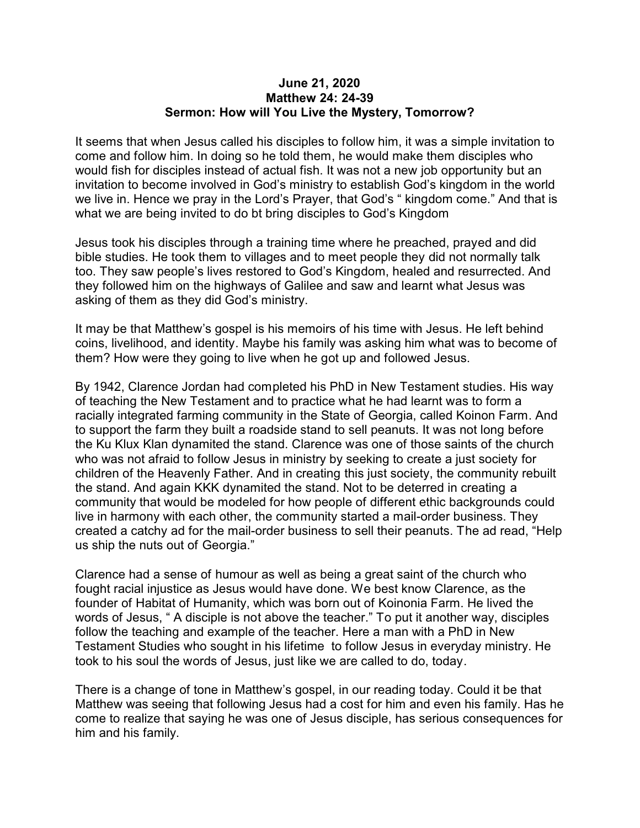## **June 21, 2020 Matthew 24: 24-39 Sermon: How will You Live the Mystery, Tomorrow?**

It seems that when Jesus called his disciples to follow him, it was a simple invitation to come and follow him. In doing so he told them, he would make them disciples who would fish for disciples instead of actual fish. It was not a new job opportunity but an invitation to become involved in God's ministry to establish God's kingdom in the world we live in. Hence we pray in the Lord's Prayer, that God's " kingdom come." And that is what we are being invited to do bt bring disciples to God's Kingdom

Jesus took his disciples through a training time where he preached, prayed and did bible studies. He took them to villages and to meet people they did not normally talk too. They saw people's lives restored to God's Kingdom, healed and resurrected. And they followed him on the highways of Galilee and saw and learnt what Jesus was asking of them as they did God's ministry.

It may be that Matthew's gospel is his memoirs of his time with Jesus. He left behind coins, livelihood, and identity. Maybe his family was asking him what was to become of them? How were they going to live when he got up and followed Jesus.

By 1942, Clarence Jordan had completed his PhD in New Testament studies. His way of teaching the New Testament and to practice what he had learnt was to form a racially integrated farming community in the State of Georgia, called Koinon Farm. And to support the farm they built a roadside stand to sell peanuts. It was not long before the Ku Klux Klan dynamited the stand. Clarence was one of those saints of the church who was not afraid to follow Jesus in ministry by seeking to create a just society for children of the Heavenly Father. And in creating this just society, the community rebuilt the stand. And again KKK dynamited the stand. Not to be deterred in creating a community that would be modeled for how people of different ethic backgrounds could live in harmony with each other, the community started a mail-order business. They created a catchy ad for the mail-order business to sell their peanuts. The ad read, "Help us ship the nuts out of Georgia."

Clarence had a sense of humour as well as being a great saint of the church who fought racial injustice as Jesus would have done. We best know Clarence, as the founder of Habitat of Humanity, which was born out of Koinonia Farm. He lived the words of Jesus, " A disciple is not above the teacher." To put it another way, disciples follow the teaching and example of the teacher. Here a man with a PhD in New Testament Studies who sought in his lifetime to follow Jesus in everyday ministry. He took to his soul the words of Jesus, just like we are called to do, today.

There is a change of tone in Matthew's gospel, in our reading today. Could it be that Matthew was seeing that following Jesus had a cost for him and even his family. Has he come to realize that saying he was one of Jesus disciple, has serious consequences for him and his family.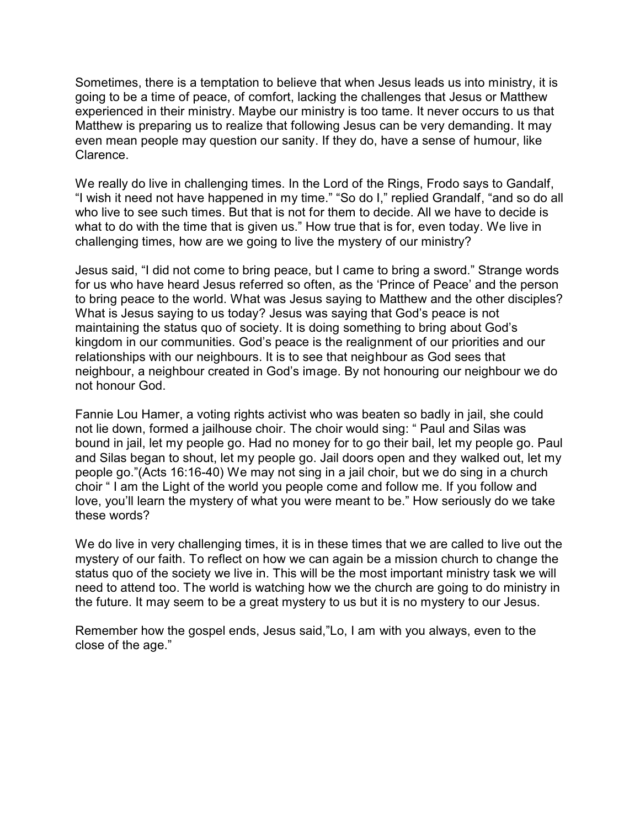Sometimes, there is a temptation to believe that when Jesus leads us into ministry, it is going to be a time of peace, of comfort, lacking the challenges that Jesus or Matthew experienced in their ministry. Maybe our ministry is too tame. It never occurs to us that Matthew is preparing us to realize that following Jesus can be very demanding. It may even mean people may question our sanity. If they do, have a sense of humour, like Clarence.

We really do live in challenging times. In the Lord of the Rings, Frodo says to Gandalf, "I wish it need not have happened in my time." "So do I," replied Grandalf, "and so do all who live to see such times. But that is not for them to decide. All we have to decide is what to do with the time that is given us." How true that is for, even today. We live in challenging times, how are we going to live the mystery of our ministry?

Jesus said, "I did not come to bring peace, but I came to bring a sword." Strange words for us who have heard Jesus referred so often, as the 'Prince of Peace' and the person to bring peace to the world. What was Jesus saying to Matthew and the other disciples? What is Jesus saying to us today? Jesus was saying that God's peace is not maintaining the status quo of society. It is doing something to bring about God's kingdom in our communities. God's peace is the realignment of our priorities and our relationships with our neighbours. It is to see that neighbour as God sees that neighbour, a neighbour created in God's image. By not honouring our neighbour we do not honour God.

Fannie Lou Hamer, a voting rights activist who was beaten so badly in jail, she could not lie down, formed a jailhouse choir. The choir would sing: " Paul and Silas was bound in jail, let my people go. Had no money for to go their bail, let my people go. Paul and Silas began to shout, let my people go. Jail doors open and they walked out, let my people go."(Acts 16:16-40) We may not sing in a jail choir, but we do sing in a church choir " I am the Light of the world you people come and follow me. If you follow and love, you'll learn the mystery of what you were meant to be." How seriously do we take these words?

We do live in very challenging times, it is in these times that we are called to live out the mystery of our faith. To reflect on how we can again be a mission church to change the status quo of the society we live in. This will be the most important ministry task we will need to attend too. The world is watching how we the church are going to do ministry in the future. It may seem to be a great mystery to us but it is no mystery to our Jesus.

Remember how the gospel ends, Jesus said,"Lo, I am with you always, even to the close of the age."